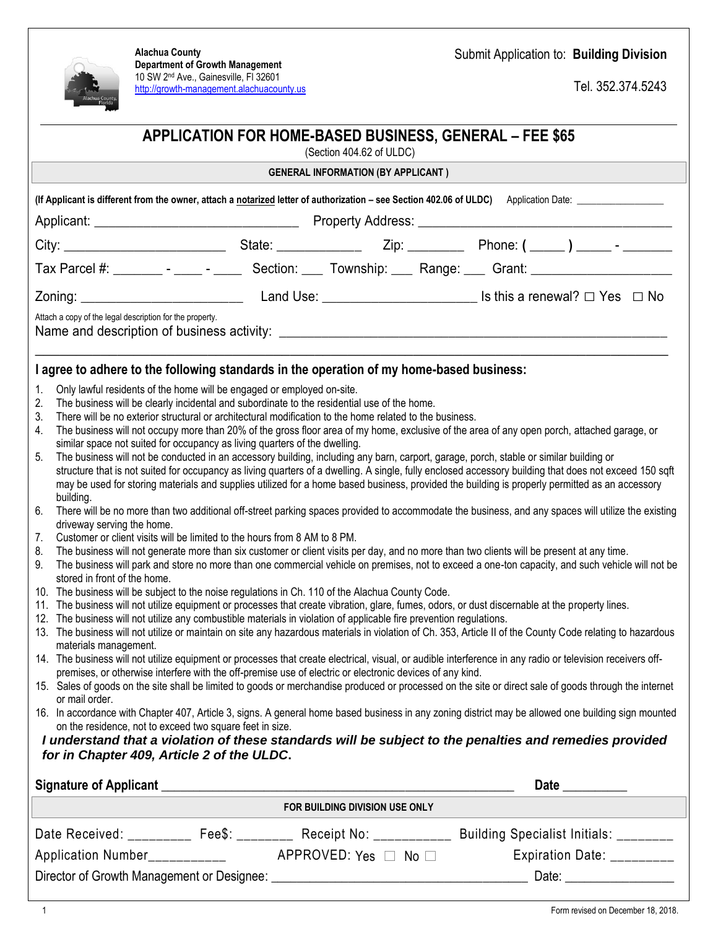

**Alachua County Department of Growth Management** 10 SW 2nd Ave., Gainesville, Fl 32601 [http://growth-management.alachuacounty.us](http://growth-management.alachuacounty.us/) Submit Application to: **Building Division**

Tel. 352.374.5243

| APPLICATION FOR HOME-BASED BUSINESS, GENERAL - FEE \$65<br>(Section 404.62 of ULDC)<br><b>GENERAL INFORMATION (BY APPLICANT)</b>                                                                                                                                                                                                                                                                                                                                                                                                                                                                                                                                                                                                                                                                                                                                                                                                                                                                                                                                                                                                                                                                                                                                                                                                                                                                                                                                                                                                                                                                                                                                                                                                                                                                                                                                                                                                                                                                                                                                                                                                                                                                                                                                                                                                                                                                                                                                                                                                                                                                                                                                                                                                                                                                                                                                                                                                                                                                                                                                                                                                            |                |  |
|---------------------------------------------------------------------------------------------------------------------------------------------------------------------------------------------------------------------------------------------------------------------------------------------------------------------------------------------------------------------------------------------------------------------------------------------------------------------------------------------------------------------------------------------------------------------------------------------------------------------------------------------------------------------------------------------------------------------------------------------------------------------------------------------------------------------------------------------------------------------------------------------------------------------------------------------------------------------------------------------------------------------------------------------------------------------------------------------------------------------------------------------------------------------------------------------------------------------------------------------------------------------------------------------------------------------------------------------------------------------------------------------------------------------------------------------------------------------------------------------------------------------------------------------------------------------------------------------------------------------------------------------------------------------------------------------------------------------------------------------------------------------------------------------------------------------------------------------------------------------------------------------------------------------------------------------------------------------------------------------------------------------------------------------------------------------------------------------------------------------------------------------------------------------------------------------------------------------------------------------------------------------------------------------------------------------------------------------------------------------------------------------------------------------------------------------------------------------------------------------------------------------------------------------------------------------------------------------------------------------------------------------------------------------------------------------------------------------------------------------------------------------------------------------------------------------------------------------------------------------------------------------------------------------------------------------------------------------------------------------------------------------------------------------------------------------------------------------------------------------------------------------|----------------|--|
|                                                                                                                                                                                                                                                                                                                                                                                                                                                                                                                                                                                                                                                                                                                                                                                                                                                                                                                                                                                                                                                                                                                                                                                                                                                                                                                                                                                                                                                                                                                                                                                                                                                                                                                                                                                                                                                                                                                                                                                                                                                                                                                                                                                                                                                                                                                                                                                                                                                                                                                                                                                                                                                                                                                                                                                                                                                                                                                                                                                                                                                                                                                                             |                |  |
|                                                                                                                                                                                                                                                                                                                                                                                                                                                                                                                                                                                                                                                                                                                                                                                                                                                                                                                                                                                                                                                                                                                                                                                                                                                                                                                                                                                                                                                                                                                                                                                                                                                                                                                                                                                                                                                                                                                                                                                                                                                                                                                                                                                                                                                                                                                                                                                                                                                                                                                                                                                                                                                                                                                                                                                                                                                                                                                                                                                                                                                                                                                                             |                |  |
|                                                                                                                                                                                                                                                                                                                                                                                                                                                                                                                                                                                                                                                                                                                                                                                                                                                                                                                                                                                                                                                                                                                                                                                                                                                                                                                                                                                                                                                                                                                                                                                                                                                                                                                                                                                                                                                                                                                                                                                                                                                                                                                                                                                                                                                                                                                                                                                                                                                                                                                                                                                                                                                                                                                                                                                                                                                                                                                                                                                                                                                                                                                                             |                |  |
| Tax Parcel #: ________ - _____ - ______ Section: ____ Township: ____ Range: ____ Grant: ______________________                                                                                                                                                                                                                                                                                                                                                                                                                                                                                                                                                                                                                                                                                                                                                                                                                                                                                                                                                                                                                                                                                                                                                                                                                                                                                                                                                                                                                                                                                                                                                                                                                                                                                                                                                                                                                                                                                                                                                                                                                                                                                                                                                                                                                                                                                                                                                                                                                                                                                                                                                                                                                                                                                                                                                                                                                                                                                                                                                                                                                              |                |  |
|                                                                                                                                                                                                                                                                                                                                                                                                                                                                                                                                                                                                                                                                                                                                                                                                                                                                                                                                                                                                                                                                                                                                                                                                                                                                                                                                                                                                                                                                                                                                                                                                                                                                                                                                                                                                                                                                                                                                                                                                                                                                                                                                                                                                                                                                                                                                                                                                                                                                                                                                                                                                                                                                                                                                                                                                                                                                                                                                                                                                                                                                                                                                             |                |  |
| Attach a copy of the legal description for the property.                                                                                                                                                                                                                                                                                                                                                                                                                                                                                                                                                                                                                                                                                                                                                                                                                                                                                                                                                                                                                                                                                                                                                                                                                                                                                                                                                                                                                                                                                                                                                                                                                                                                                                                                                                                                                                                                                                                                                                                                                                                                                                                                                                                                                                                                                                                                                                                                                                                                                                                                                                                                                                                                                                                                                                                                                                                                                                                                                                                                                                                                                    |                |  |
|                                                                                                                                                                                                                                                                                                                                                                                                                                                                                                                                                                                                                                                                                                                                                                                                                                                                                                                                                                                                                                                                                                                                                                                                                                                                                                                                                                                                                                                                                                                                                                                                                                                                                                                                                                                                                                                                                                                                                                                                                                                                                                                                                                                                                                                                                                                                                                                                                                                                                                                                                                                                                                                                                                                                                                                                                                                                                                                                                                                                                                                                                                                                             |                |  |
|                                                                                                                                                                                                                                                                                                                                                                                                                                                                                                                                                                                                                                                                                                                                                                                                                                                                                                                                                                                                                                                                                                                                                                                                                                                                                                                                                                                                                                                                                                                                                                                                                                                                                                                                                                                                                                                                                                                                                                                                                                                                                                                                                                                                                                                                                                                                                                                                                                                                                                                                                                                                                                                                                                                                                                                                                                                                                                                                                                                                                                                                                                                                             |                |  |
| I agree to adhere to the following standards in the operation of my home-based business:<br>Only lawful residents of the home will be engaged or employed on-site.<br>1.<br>The business will be clearly incidental and subordinate to the residential use of the home.<br>2.<br>3.<br>There will be no exterior structural or architectural modification to the home related to the business.<br>The business will not occupy more than 20% of the gross floor area of my home, exclusive of the area of any open porch, attached garage, or<br>4.<br>similar space not suited for occupancy as living quarters of the dwelling.<br>The business will not be conducted in an accessory building, including any barn, carport, garage, porch, stable or similar building or<br>5.<br>structure that is not suited for occupancy as living quarters of a dwelling. A single, fully enclosed accessory building that does not exceed 150 sqft<br>may be used for storing materials and supplies utilized for a home based business, provided the building is properly permitted as an accessory<br>building.<br>There will be no more than two additional off-street parking spaces provided to accommodate the business, and any spaces will utilize the existing<br>6.<br>driveway serving the home.<br>Customer or client visits will be limited to the hours from 8 AM to 8 PM.<br>7.<br>The business will not generate more than six customer or client visits per day, and no more than two clients will be present at any time.<br>8.<br>9.<br>The business will park and store no more than one commercial vehicle on premises, not to exceed a one-ton capacity, and such vehicle will not be<br>stored in front of the home.<br>10. The business will be subject to the noise regulations in Ch. 110 of the Alachua County Code.<br>11. The business will not utilize equipment or processes that create vibration, glare, fumes, odors, or dust discernable at the property lines.<br>12. The business will not utilize any combustible materials in violation of applicable fire prevention regulations.<br>13. The business will not utilize or maintain on site any hazardous materials in violation of Ch. 353, Article II of the County Code relating to hazardous<br>materials management.<br>14. The business will not utilize equipment or processes that create electrical, visual, or audible interference in any radio or television receivers off-<br>premises, or otherwise interfere with the off-premise use of electric or electronic devices of any kind.<br>15. Sales of goods on the site shall be limited to goods or merchandise produced or processed on the site or direct sale of goods through the internet<br>or mail order.<br>16. In accordance with Chapter 407, Article 3, signs. A general home based business in any zoning district may be allowed one building sign mounted<br>on the residence, not to exceed two square feet in size.<br>I understand that a violation of these standards will be subject to the penalties and remedies provided<br>for in Chapter 409, Article 2 of the ULDC. |                |  |
|                                                                                                                                                                                                                                                                                                                                                                                                                                                                                                                                                                                                                                                                                                                                                                                                                                                                                                                                                                                                                                                                                                                                                                                                                                                                                                                                                                                                                                                                                                                                                                                                                                                                                                                                                                                                                                                                                                                                                                                                                                                                                                                                                                                                                                                                                                                                                                                                                                                                                                                                                                                                                                                                                                                                                                                                                                                                                                                                                                                                                                                                                                                                             | Date _________ |  |
| FOR BUILDING DIVISION USE ONLY                                                                                                                                                                                                                                                                                                                                                                                                                                                                                                                                                                                                                                                                                                                                                                                                                                                                                                                                                                                                                                                                                                                                                                                                                                                                                                                                                                                                                                                                                                                                                                                                                                                                                                                                                                                                                                                                                                                                                                                                                                                                                                                                                                                                                                                                                                                                                                                                                                                                                                                                                                                                                                                                                                                                                                                                                                                                                                                                                                                                                                                                                                              |                |  |
| Date Received: _________ Fee\$: ________ Receipt No: __________ Building Specialist Initials: _______                                                                                                                                                                                                                                                                                                                                                                                                                                                                                                                                                                                                                                                                                                                                                                                                                                                                                                                                                                                                                                                                                                                                                                                                                                                                                                                                                                                                                                                                                                                                                                                                                                                                                                                                                                                                                                                                                                                                                                                                                                                                                                                                                                                                                                                                                                                                                                                                                                                                                                                                                                                                                                                                                                                                                                                                                                                                                                                                                                                                                                       |                |  |
|                                                                                                                                                                                                                                                                                                                                                                                                                                                                                                                                                                                                                                                                                                                                                                                                                                                                                                                                                                                                                                                                                                                                                                                                                                                                                                                                                                                                                                                                                                                                                                                                                                                                                                                                                                                                                                                                                                                                                                                                                                                                                                                                                                                                                                                                                                                                                                                                                                                                                                                                                                                                                                                                                                                                                                                                                                                                                                                                                                                                                                                                                                                                             |                |  |
|                                                                                                                                                                                                                                                                                                                                                                                                                                                                                                                                                                                                                                                                                                                                                                                                                                                                                                                                                                                                                                                                                                                                                                                                                                                                                                                                                                                                                                                                                                                                                                                                                                                                                                                                                                                                                                                                                                                                                                                                                                                                                                                                                                                                                                                                                                                                                                                                                                                                                                                                                                                                                                                                                                                                                                                                                                                                                                                                                                                                                                                                                                                                             |                |  |